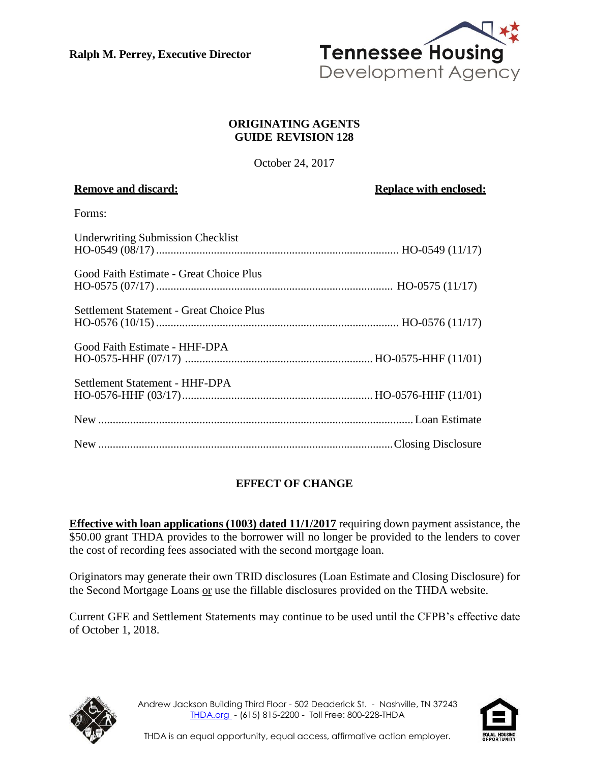

# **ORIGINATING AGENTS GUIDE REVISION 128**

October 24, 2017

| <b>Remove and discard:</b>                      | <b>Replace with enclosed:</b> |
|-------------------------------------------------|-------------------------------|
| Forms:                                          |                               |
| <b>Underwriting Submission Checklist</b>        |                               |
| Good Faith Estimate - Great Choice Plus         |                               |
| <b>Settlement Statement - Great Choice Plus</b> |                               |
| Good Faith Estimate - HHF-DPA                   |                               |
| Settlement Statement - HHF-DPA                  |                               |
|                                                 |                               |
|                                                 |                               |

# **EFFECT OF CHANGE**

**Effective with loan applications (1003) dated 11/1/2017** requiring down payment assistance, the \$50.00 grant THDA provides to the borrower will no longer be provided to the lenders to cover the cost of recording fees associated with the second mortgage loan.

Originators may generate their own TRID disclosures (Loan Estimate and Closing Disclosure) for the Second Mortgage Loans or use the fillable disclosures provided on the THDA website.

Current GFE and Settlement Statements may continue to be used until the CFPB's effective date of October 1, 2018.



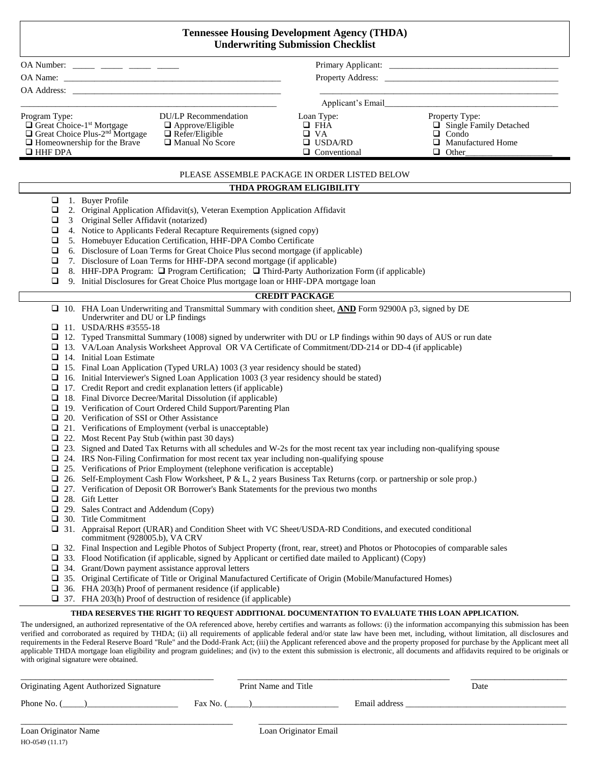|                                                                                                                                                                                                                                                                                                                                                                                                                                                                                                                                                                                                                                                                                                                                                                                                                                                                                                                                                                                                                                                                                                                                                                                                                                                                                                                                                                                                                                                                                                                                                                                                                                                                                                                                                                                                                                                                                                                                                                                                                                                                                                                                                                                                                                                                                                                                                                               | <b>Tennessee Housing Development Agency (THDA)</b><br><b>Underwriting Submission Checklist</b> |                                                                                                                                                                                                                                        |
|-------------------------------------------------------------------------------------------------------------------------------------------------------------------------------------------------------------------------------------------------------------------------------------------------------------------------------------------------------------------------------------------------------------------------------------------------------------------------------------------------------------------------------------------------------------------------------------------------------------------------------------------------------------------------------------------------------------------------------------------------------------------------------------------------------------------------------------------------------------------------------------------------------------------------------------------------------------------------------------------------------------------------------------------------------------------------------------------------------------------------------------------------------------------------------------------------------------------------------------------------------------------------------------------------------------------------------------------------------------------------------------------------------------------------------------------------------------------------------------------------------------------------------------------------------------------------------------------------------------------------------------------------------------------------------------------------------------------------------------------------------------------------------------------------------------------------------------------------------------------------------------------------------------------------------------------------------------------------------------------------------------------------------------------------------------------------------------------------------------------------------------------------------------------------------------------------------------------------------------------------------------------------------------------------------------------------------------------------------------------------------|------------------------------------------------------------------------------------------------|----------------------------------------------------------------------------------------------------------------------------------------------------------------------------------------------------------------------------------------|
| OA Number: _____ ____ ____ ____ ____                                                                                                                                                                                                                                                                                                                                                                                                                                                                                                                                                                                                                                                                                                                                                                                                                                                                                                                                                                                                                                                                                                                                                                                                                                                                                                                                                                                                                                                                                                                                                                                                                                                                                                                                                                                                                                                                                                                                                                                                                                                                                                                                                                                                                                                                                                                                          |                                                                                                |                                                                                                                                                                                                                                        |
|                                                                                                                                                                                                                                                                                                                                                                                                                                                                                                                                                                                                                                                                                                                                                                                                                                                                                                                                                                                                                                                                                                                                                                                                                                                                                                                                                                                                                                                                                                                                                                                                                                                                                                                                                                                                                                                                                                                                                                                                                                                                                                                                                                                                                                                                                                                                                                               |                                                                                                |                                                                                                                                                                                                                                        |
|                                                                                                                                                                                                                                                                                                                                                                                                                                                                                                                                                                                                                                                                                                                                                                                                                                                                                                                                                                                                                                                                                                                                                                                                                                                                                                                                                                                                                                                                                                                                                                                                                                                                                                                                                                                                                                                                                                                                                                                                                                                                                                                                                                                                                                                                                                                                                                               |                                                                                                | <u> 1980 - Jan James James James James James James James James James James James James James James James James J</u>                                                                                                                   |
|                                                                                                                                                                                                                                                                                                                                                                                                                                                                                                                                                                                                                                                                                                                                                                                                                                                                                                                                                                                                                                                                                                                                                                                                                                                                                                                                                                                                                                                                                                                                                                                                                                                                                                                                                                                                                                                                                                                                                                                                                                                                                                                                                                                                                                                                                                                                                                               |                                                                                                | Applicant's Email<br><u>Letter and Contract and Contract and Contract and Contract and Contract and Contract and Contract and Contract and Contract and Contract and Contract and Contract and Contract and Contract and Contract </u> |
| <b>DU/LP</b> Recommendation<br>Program Type:<br>Great Choice-1 <sup>st</sup> Mortgage<br>$\Box$ Approve/Eligible<br>$\Box$ Great Choice Plus-2 <sup>nd</sup> Mortgage<br>$\Box$ Refer/Eligible<br>$\Box$ Homeownership for the Brave<br>$\Box$ Manual No Score<br>$\Box$ HHF DPA                                                                                                                                                                                                                                                                                                                                                                                                                                                                                                                                                                                                                                                                                                                                                                                                                                                                                                                                                                                                                                                                                                                                                                                                                                                                                                                                                                                                                                                                                                                                                                                                                                                                                                                                                                                                                                                                                                                                                                                                                                                                                              | Loan Type:<br>$\Box$ FHA<br>$\Box$ VA<br>$\Box$ USDA/RD<br>$\Box$ Conventional                 | Property Type:<br>$\Box$ Single Family Detached<br>$\Box$ Condo<br>$\Box$ Manufactured Home<br>$\Box$ Other                                                                                                                            |
|                                                                                                                                                                                                                                                                                                                                                                                                                                                                                                                                                                                                                                                                                                                                                                                                                                                                                                                                                                                                                                                                                                                                                                                                                                                                                                                                                                                                                                                                                                                                                                                                                                                                                                                                                                                                                                                                                                                                                                                                                                                                                                                                                                                                                                                                                                                                                                               | PLEASE ASSEMBLE PACKAGE IN ORDER LISTED BELOW                                                  |                                                                                                                                                                                                                                        |
|                                                                                                                                                                                                                                                                                                                                                                                                                                                                                                                                                                                                                                                                                                                                                                                                                                                                                                                                                                                                                                                                                                                                                                                                                                                                                                                                                                                                                                                                                                                                                                                                                                                                                                                                                                                                                                                                                                                                                                                                                                                                                                                                                                                                                                                                                                                                                                               | THDA PROGRAM ELIGIBILITY                                                                       |                                                                                                                                                                                                                                        |
| $\Box$<br>1. Buyer Profile<br>$\Box$<br>2. Original Application Affidavit(s), Veteran Exemption Application Affidavit<br>3 Original Seller Affidavit (notarized)<br>$\Box$<br>4. Notice to Applicants Federal Recapture Requirements (signed copy)<br>❏<br>5. Homebuyer Education Certification, HHF-DPA Combo Certificate<br>❏<br>6. Disclosure of Loan Terms for Great Choice Plus second mortgage (if applicable)<br>$\Box$<br>7. Disclosure of Loan Terms for HHF-DPA second mortgage (if applicable)<br>❏<br>8. HHF-DPA Program: Q Program Certification; Q Third-Party Authorization Form (if applicable)<br>⊔<br>9. Initial Disclosures for Great Choice Plus mortgage loan or HHF-DPA mortgage loan<br>Q                                                                                                                                                                                                                                                                                                                                                                                                                                                                                                                                                                                                                                                                                                                                                                                                                                                                                                                                                                                                                                                                                                                                                                                                                                                                                                                                                                                                                                                                                                                                                                                                                                                              |                                                                                                |                                                                                                                                                                                                                                        |
|                                                                                                                                                                                                                                                                                                                                                                                                                                                                                                                                                                                                                                                                                                                                                                                                                                                                                                                                                                                                                                                                                                                                                                                                                                                                                                                                                                                                                                                                                                                                                                                                                                                                                                                                                                                                                                                                                                                                                                                                                                                                                                                                                                                                                                                                                                                                                                               | <b>CREDIT PACKAGE</b>                                                                          |                                                                                                                                                                                                                                        |
| $\Box$ 10. FHA Loan Underwriting and Transmittal Summary with condition sheet, AND Form 92900A p3, signed by DE<br>Underwriter and DU or LP findings<br>$\Box$ 11. USDA/RHS #3555-18<br>$\Box$ 12. Typed Transmittal Summary (1008) signed by underwriter with DU or LP findings within 90 days of AUS or run date<br>13. VA/Loan Analysis Worksheet Approval OR VA Certificate of Commitment/DD-214 or DD-4 (if applicable)<br>$\Box$ 14. Initial Loan Estimate<br>$\Box$ 15. Final Loan Application (Typed URLA) 1003 (3 year residency should be stated)<br>16. Initial Interviewer's Signed Loan Application 1003 (3 year residency should be stated)<br>□<br>$\Box$ 17. Credit Report and credit explanation letters (if applicable)<br>$\Box$ 18. Final Divorce Decree/Marital Dissolution (if applicable)<br>□ 19. Verification of Court Ordered Child Support/Parenting Plan<br>20. Verification of SSI or Other Assistance<br>Q.<br>$\Box$ 21. Verifications of Employment (verbal is unacceptable)<br>22. Most Recent Pay Stub (within past 30 days)<br>□ 23. Signed and Dated Tax Returns with all schedules and W-2s for the most recent tax year including non-qualifying spouse<br>$\Box$ 24. IRS Non-Filing Confirmation for most recent tax year including non-qualifying spouse<br>$\Box$ 25. Verifications of Prior Employment (telephone verification is acceptable)<br>26. Self-Employment Cash Flow Worksheet, P & L, 2 years Business Tax Returns (corp. or partnership or sole prop.)<br>⊔<br>$\Box$ 27. Verification of Deposit OR Borrower's Bank Statements for the previous two months<br>28. Gift Letter<br>□<br>29. Sales Contract and Addendum (Copy)<br>□<br>30. Title Commitment<br>⊔<br>□ 31. Appraisal Report (URAR) and Condition Sheet with VC Sheet/USDA-RD Conditions, and executed conditional<br>commitment (928005.b), VA CRV<br>□ 32. Final Inspection and Legible Photos of Subject Property (front, rear, street) and Photos or Photocopies of comparable sales<br>$\Box$ 33. Flood Notification (if applicable, signed by Applicant or certified date mailed to Applicant) (Copy)<br>34. Grant/Down payment assistance approval letters<br>□<br>35. Original Certificate of Title or Original Manufactured Certificate of Origin (Mobile/Manufactured Homes)<br>⊔<br>36. FHA 203(h) Proof of permanent residence (if applicable) |                                                                                                |                                                                                                                                                                                                                                        |
| $\Box$ 37. FHA 203(h) Proof of destruction of residence (if applicable)<br>THDA RESERVES THE RIGHT TO REQUEST ADDITIONAL DOCUMENTATION TO EVALUATE THIS LOAN APPLICATION.                                                                                                                                                                                                                                                                                                                                                                                                                                                                                                                                                                                                                                                                                                                                                                                                                                                                                                                                                                                                                                                                                                                                                                                                                                                                                                                                                                                                                                                                                                                                                                                                                                                                                                                                                                                                                                                                                                                                                                                                                                                                                                                                                                                                     |                                                                                                |                                                                                                                                                                                                                                        |
| The undersigned, an authorized representative of the OA referenced above, hereby certifies and warrants as follows: (i) the information accompanying this submission has been<br>verified and corroborated as required by THDA; (ii) all requirements of applicable federal and/or state law have been met, including, without limitation, all disclosures and                                                                                                                                                                                                                                                                                                                                                                                                                                                                                                                                                                                                                                                                                                                                                                                                                                                                                                                                                                                                                                                                                                                                                                                                                                                                                                                                                                                                                                                                                                                                                                                                                                                                                                                                                                                                                                                                                                                                                                                                                |                                                                                                |                                                                                                                                                                                                                                        |

requirements in the Federal Reserve Board "Rule" and the Dodd-Frank Act; (iii) the Applicant referenced above and the property proposed for purchase by the Applicant meet all applicable THDA mortgage loan eligibility and program guidelines; and (iv) to the extent this submission is electronic, all documents and affidavits required to be originals or with original signature were obtained.

| Originating Agent Authorized Signature | Print Name and Title |               | Date |
|----------------------------------------|----------------------|---------------|------|
| Phone No. (                            | Fax No. (            | Email address |      |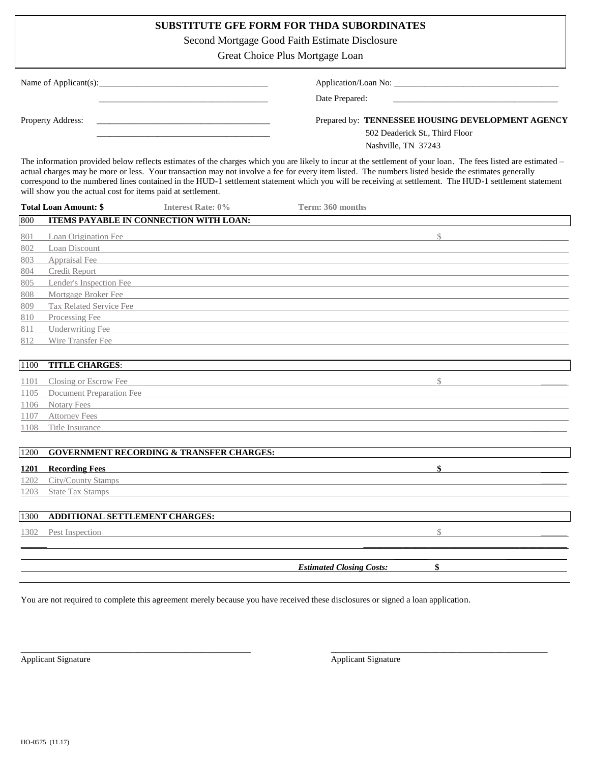# **SUBSTITUTE GFE FORM FOR THDA SUBORDINATES**

Second Mortgage Good Faith Estimate Disclo

|                                                      |                                                                                                                         |                                                                                                                                                                                                                                                                                                                                                                                                                                                                                                                                                                                                | Second Mortgage Good Faith Estimate Disclosure<br>Great Choice Plus Mortgage Loan |                                                                                                                                                                                                                                                                                                                                                                                                                                                                                 |
|------------------------------------------------------|-------------------------------------------------------------------------------------------------------------------------|------------------------------------------------------------------------------------------------------------------------------------------------------------------------------------------------------------------------------------------------------------------------------------------------------------------------------------------------------------------------------------------------------------------------------------------------------------------------------------------------------------------------------------------------------------------------------------------------|-----------------------------------------------------------------------------------|---------------------------------------------------------------------------------------------------------------------------------------------------------------------------------------------------------------------------------------------------------------------------------------------------------------------------------------------------------------------------------------------------------------------------------------------------------------------------------|
|                                                      |                                                                                                                         |                                                                                                                                                                                                                                                                                                                                                                                                                                                                                                                                                                                                |                                                                                   |                                                                                                                                                                                                                                                                                                                                                                                                                                                                                 |
|                                                      |                                                                                                                         |                                                                                                                                                                                                                                                                                                                                                                                                                                                                                                                                                                                                | Date Prepared:                                                                    |                                                                                                                                                                                                                                                                                                                                                                                                                                                                                 |
|                                                      | Property Address:                                                                                                       | <u> 1989 - Johann Stein, marwolaethau a bhann an t-Amhain an t-Amhain an t-Amhain an t-Amhain an t-Amhain an t-A</u>                                                                                                                                                                                                                                                                                                                                                                                                                                                                           |                                                                                   | Prepared by: TENNESSEE HOUSING DEVELOPMENT AGENCY<br>502 Deaderick St., Third Floor<br>Nashville, TN 37243                                                                                                                                                                                                                                                                                                                                                                      |
|                                                      | will show you the actual cost for items paid at settlement.                                                             |                                                                                                                                                                                                                                                                                                                                                                                                                                                                                                                                                                                                |                                                                                   | The information provided below reflects estimates of the charges which you are likely to incur at the settlement of your loan. The fees listed are estimated -<br>actual charges may be more or less. Your transaction may not involve a fee for every item listed. The numbers listed beside the estimates generally<br>correspond to the numbered lines contained in the HUD-1 settlement statement which you will be receiving at settlement. The HUD-1 settlement statement |
|                                                      | <b>Total Loan Amount: \$</b>                                                                                            | <b>Interest Rate: 0%</b>                                                                                                                                                                                                                                                                                                                                                                                                                                                                                                                                                                       | Term: 360 months                                                                  |                                                                                                                                                                                                                                                                                                                                                                                                                                                                                 |
| 800                                                  |                                                                                                                         | ITEMS PAYABLE IN CONNECTION WITH LOAN:                                                                                                                                                                                                                                                                                                                                                                                                                                                                                                                                                         |                                                                                   |                                                                                                                                                                                                                                                                                                                                                                                                                                                                                 |
| 801<br>802<br>803<br>804<br>805<br>808<br>809<br>810 | Loan Origination Fee<br>Loan Discount<br>Appraisal Fee<br><b>Credit Report</b><br>Mortgage Broker Fee<br>Processing Fee | <u> 1980 - Jan James James James James James James James James James James James James James James James James J</u><br>,我们也不会有什么。""我们的人,我们也不会有什么?""我们的人,我们也不会有什么?""我们的人,我们也不会有什么?""我们的人,我们也不会有什么?""我们的人<br>Lender's Inspection Fee<br>Tax Related Service Fee <u>contract the contract of the service</u> contract of the contract of the contract of the contract of the contract of the contract of the contract of the contract of the contract of the contract of the<br>and the control of the control of the control of the control of the control of the control of the control of the |                                                                                   |                                                                                                                                                                                                                                                                                                                                                                                                                                                                                 |
| 811<br>812                                           | Wire Transfer Fee                                                                                                       | Underwriting Fee                                                                                                                                                                                                                                                                                                                                                                                                                                                                                                                                                                               |                                                                                   |                                                                                                                                                                                                                                                                                                                                                                                                                                                                                 |
| 1100                                                 | <b>TITLE CHARGES:</b>                                                                                                   |                                                                                                                                                                                                                                                                                                                                                                                                                                                                                                                                                                                                |                                                                                   |                                                                                                                                                                                                                                                                                                                                                                                                                                                                                 |
| 1101<br>1105<br>1106<br>1107<br>1108                 | Closing or Escrow Fee<br>Document Preparation Fee<br><b>Notary Fees</b><br><b>Attorney Fees</b><br>Title Insurance      | <u> 1989 - Johann Stoff, deutscher Stoffen und der Stoffen und der Stoffen und der Stoffen und der Stoffen und der</u><br>,我们也不会有什么。""我们的人,我们也不会有什么?""我们的人,我们也不会有什么?""我们的人,我们的人,我们的人,我们的人,我们的人,我们的人,我们的人,我<br><u> 1989 - Johann Stein, marwolaethau a bhann an chomhair an chomhair an chomhair an chomhair an chomhair an chom</u>                                                                                                                                                                                                                                                            |                                                                                   | $\frac{1}{2}$ . The contract of the contract of the contract of the contract of the contract of the contract of the contract of the contract of the contract of the contract of the contract of the contract of the contract of t                                                                                                                                                                                                                                               |
| 1200                                                 |                                                                                                                         | <b>GOVERNMENT RECORDING &amp; TRANSFER CHARGES:</b>                                                                                                                                                                                                                                                                                                                                                                                                                                                                                                                                            |                                                                                   |                                                                                                                                                                                                                                                                                                                                                                                                                                                                                 |
| <u>1201</u><br>1202<br>1203                          | <b>Recording Fees</b><br><b>City/County Stamps</b><br><b>State Tax Stamps</b>                                           |                                                                                                                                                                                                                                                                                                                                                                                                                                                                                                                                                                                                |                                                                                   | \$                                                                                                                                                                                                                                                                                                                                                                                                                                                                              |
| 1300                                                 | ADDITIONAL SETTLEMENT CHARGES:                                                                                          |                                                                                                                                                                                                                                                                                                                                                                                                                                                                                                                                                                                                |                                                                                   |                                                                                                                                                                                                                                                                                                                                                                                                                                                                                 |
| 1302                                                 | Pest Inspection                                                                                                         |                                                                                                                                                                                                                                                                                                                                                                                                                                                                                                                                                                                                |                                                                                   |                                                                                                                                                                                                                                                                                                                                                                                                                                                                                 |
|                                                      |                                                                                                                         |                                                                                                                                                                                                                                                                                                                                                                                                                                                                                                                                                                                                | <b>Estimated Closing Costs:</b>                                                   | \$                                                                                                                                                                                                                                                                                                                                                                                                                                                                              |
|                                                      |                                                                                                                         |                                                                                                                                                                                                                                                                                                                                                                                                                                                                                                                                                                                                |                                                                                   |                                                                                                                                                                                                                                                                                                                                                                                                                                                                                 |

You are not required to complete this agreement merely because you have received these disclosures or signed a loan application.

\_\_\_\_\_\_\_\_\_\_\_\_\_\_\_\_\_\_\_\_\_\_\_\_\_\_\_\_\_\_\_\_\_\_\_\_\_\_\_\_\_\_\_\_\_\_\_\_\_\_\_\_\_ \_\_\_\_\_\_\_\_\_\_\_\_\_\_\_\_\_\_\_\_\_\_\_\_\_\_\_\_\_\_\_\_\_\_\_\_\_\_\_\_\_\_\_\_\_\_\_\_\_\_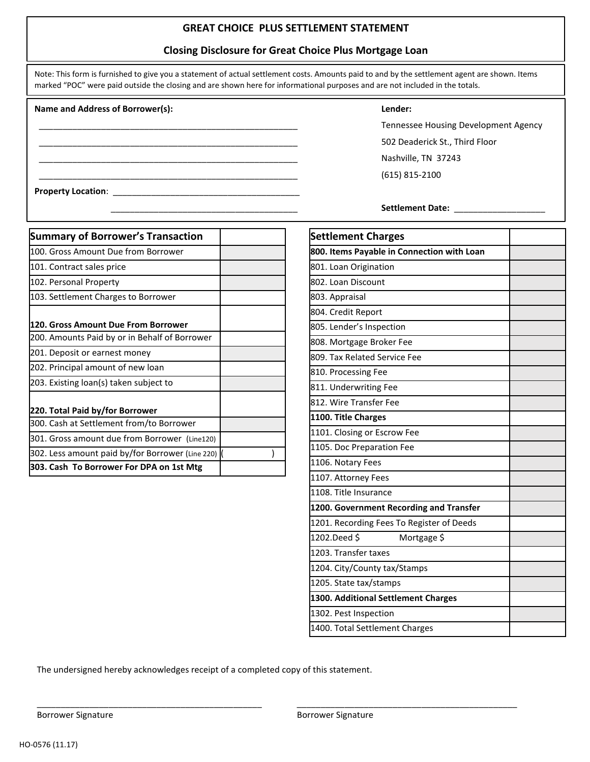# **GREAT CHOICE PLUS SETTLEMENT STATEMENT**

# **Closing Disclosure for Great Choice Plus Mortgage Loan**

Note: This form is furnished to give you a statement of actual settlement costs. Amounts paid to and by the settlement agent are shown. Items marked "POC" were paid outside the closing and are shown here for informational purposes and are not included in the totals.

#### **Name and Address of Borrower(s): Lender:**

**Property Location**: \_\_\_\_\_\_\_\_\_\_\_\_\_\_\_\_\_\_\_\_\_\_\_\_\_\_\_\_\_\_\_\_\_\_\_\_\_\_\_

Tennessee Housing Development Agency \_\_\_\_\_\_\_\_\_\_\_\_\_\_\_\_\_\_\_\_\_\_\_\_\_\_\_\_\_\_\_\_\_\_\_\_\_\_\_\_\_\_\_\_\_\_\_\_\_\_\_\_\_\_ 502 Deaderick St., Third Floor Nashville, TN 37243 \_\_\_\_\_\_\_\_\_\_\_\_\_\_\_\_\_\_\_\_\_\_\_\_\_\_\_\_\_\_\_\_\_\_\_\_\_\_\_\_\_\_\_\_\_\_\_\_\_\_\_\_\_\_ (615) 815-2100

\_\_\_\_\_\_\_\_\_\_\_\_\_\_\_\_\_\_\_\_\_\_\_\_\_\_\_\_\_\_\_\_\_\_\_\_\_\_\_ **Settlement Date:** \_\_\_\_\_\_\_\_\_\_\_\_\_\_\_\_\_\_\_

| <b>Summary of Borrower's Transaction</b>         |  |
|--------------------------------------------------|--|
| 100. Gross Amount Due from Borrower              |  |
| 101. Contract sales price                        |  |
| 102. Personal Property                           |  |
| 103. Settlement Charges to Borrower              |  |
| 120. Gross Amount Due From Borrower              |  |
| 200. Amounts Paid by or in Behalf of Borrower    |  |
| 201. Deposit or earnest money                    |  |
| 202. Principal amount of new loan                |  |
| 203. Existing loan(s) taken subject to           |  |
| 220. Total Paid by/for Borrower                  |  |
| 300. Cash at Settlement from/to Borrower         |  |
| 301. Gross amount due from Borrower (Line120)    |  |
| 302. Less amount paid by/for Borrower (Line 220) |  |
| 303. Cash To Borrower For DPA on 1st Mtg         |  |

| <b>Settlement Charges</b>                  |  |
|--------------------------------------------|--|
| 800. Items Payable in Connection with Loan |  |
| 801. Loan Origination                      |  |
| 802. Loan Discount                         |  |
| 803. Appraisal                             |  |
| 804. Credit Report                         |  |
| 805. Lender's Inspection                   |  |
| 808. Mortgage Broker Fee                   |  |
| 809. Tax Related Service Fee               |  |
| 810. Processing Fee                        |  |
| 811. Underwriting Fee                      |  |
| 812. Wire Transfer Fee                     |  |
| 1100. Title Charges                        |  |
| 1101. Closing or Escrow Fee                |  |
| 1105. Doc Preparation Fee                  |  |
| 1106. Notary Fees                          |  |
| 1107. Attorney Fees                        |  |
| 1108. Title Insurance                      |  |
| 1200. Government Recording and Transfer    |  |
| 1201. Recording Fees To Register of Deeds  |  |
| 1202.Deed \$<br>Mortgage \$                |  |
| 1203. Transfer taxes                       |  |
| 1204. City/County tax/Stamps               |  |
| 1205. State tax/stamps                     |  |
| 1300. Additional Settlement Charges        |  |
| 1302. Pest Inspection                      |  |
| 1400. Total Settlement Charges             |  |

The undersigned hereby acknowledges receipt of a completed copy of this statement.

 $\overline{\phantom{a}}$  , and the contribution of the contribution of the contribution of the contribution of the contribution of the contribution of the contribution of the contribution of the contribution of the contribution of the

Borrower Signature **Borrower Signature** Borrower Signature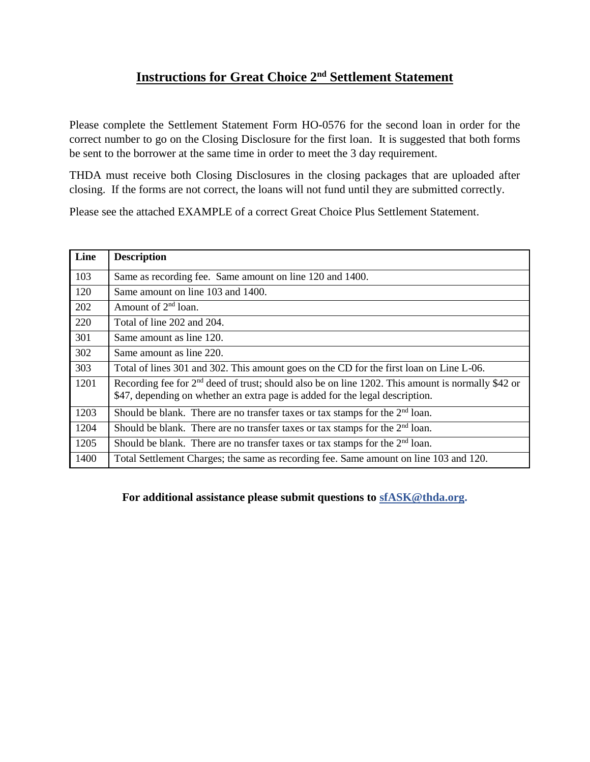# **Instructions for Great Choice 2 nd Settlement Statement**

Please complete the Settlement Statement Form HO-0576 for the second loan in order for the correct number to go on the Closing Disclosure for the first loan. It is suggested that both forms be sent to the borrower at the same time in order to meet the 3 day requirement.

THDA must receive both Closing Disclosures in the closing packages that are uploaded after closing. If the forms are not correct, the loans will not fund until they are submitted correctly.

Please see the attached EXAMPLE of a correct Great Choice Plus Settlement Statement.

| Line | <b>Description</b>                                                                                                                                                                  |
|------|-------------------------------------------------------------------------------------------------------------------------------------------------------------------------------------|
| 103  | Same as recording fee. Same amount on line 120 and 1400.                                                                                                                            |
| 120  | Same amount on line 103 and 1400.                                                                                                                                                   |
| 202  | Amount of 2 <sup>nd</sup> loan.                                                                                                                                                     |
| 220  | Total of line 202 and 204.                                                                                                                                                          |
| 301  | Same amount as line 120.                                                                                                                                                            |
| 302  | Same amount as line 220.                                                                                                                                                            |
| 303  | Total of lines 301 and 302. This amount goes on the CD for the first loan on Line L-06.                                                                                             |
| 1201 | Recording fee for $2nd$ deed of trust; should also be on line 1202. This amount is normally \$42 or<br>\$47, depending on whether an extra page is added for the legal description. |
| 1203 | Should be blank. There are no transfer taxes or tax stamps for the $2nd$ loan.                                                                                                      |
| 1204 | Should be blank. There are no transfer taxes or tax stamps for the $2nd$ loan.                                                                                                      |
| 1205 | Should be blank. There are no transfer taxes or tax stamps for the $2nd$ loan.                                                                                                      |
| 1400 | Total Settlement Charges; the same as recording fee. Same amount on line 103 and 120.                                                                                               |

**For additional assistance please submit questions to [sfASK@thda.org.](mailto:sfASK@thda.org)**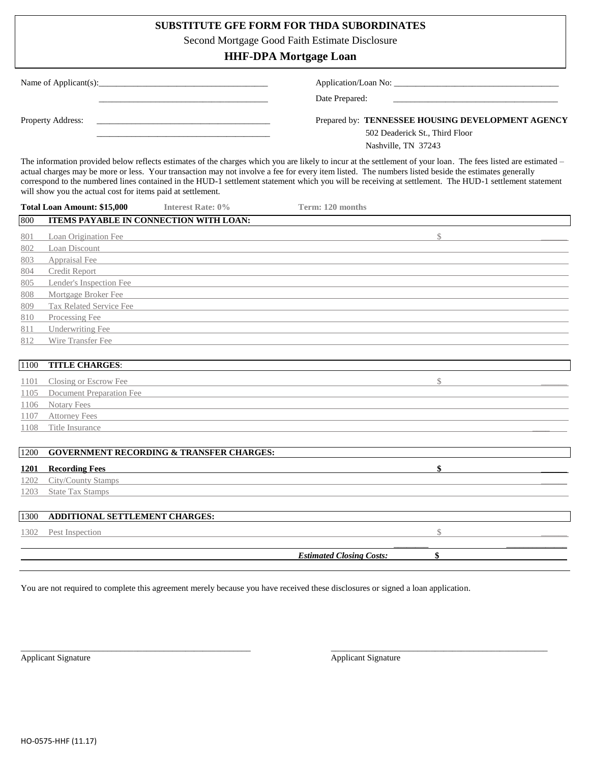# **SUBSTITUTE GFE FORM FOR THDA SUBORDINATES**

Second Mortgage Good Faith Estimate Disclosure

# **HHF-DPA Mortgage Loan**

|      |                                                             |                                                                                                                                                               | <b>HHF-DPA Mortgage Loan</b>                                                                                                                                                                                                                                                                                                                                                                                                                                                    |                                                                                                                      |
|------|-------------------------------------------------------------|---------------------------------------------------------------------------------------------------------------------------------------------------------------|---------------------------------------------------------------------------------------------------------------------------------------------------------------------------------------------------------------------------------------------------------------------------------------------------------------------------------------------------------------------------------------------------------------------------------------------------------------------------------|----------------------------------------------------------------------------------------------------------------------|
|      |                                                             |                                                                                                                                                               |                                                                                                                                                                                                                                                                                                                                                                                                                                                                                 |                                                                                                                      |
|      |                                                             |                                                                                                                                                               | Date Prepared:                                                                                                                                                                                                                                                                                                                                                                                                                                                                  | <u> 1989 - Johann John Stein, markin fan it ferstjer fan it ferstjer fan it ferstjer fan it ferstjer fan it fers</u> |
|      | Property Address:                                           | the control of the control of the control of the control of the control of the control of<br><u> 1989 - Andrea Stadt Britain, amerikansk politik (* 1908)</u> | Prepared by: TENNESSEE HOUSING DEVELOPMENT AGENCY<br>502 Deaderick St., Third Floor                                                                                                                                                                                                                                                                                                                                                                                             |                                                                                                                      |
|      |                                                             |                                                                                                                                                               | Nashville, TN 37243                                                                                                                                                                                                                                                                                                                                                                                                                                                             |                                                                                                                      |
|      | will show you the actual cost for items paid at settlement. |                                                                                                                                                               | The information provided below reflects estimates of the charges which you are likely to incur at the settlement of your loan. The fees listed are estimated -<br>actual charges may be more or less. Your transaction may not involve a fee for every item listed. The numbers listed beside the estimates generally<br>correspond to the numbered lines contained in the HUD-1 settlement statement which you will be receiving at settlement. The HUD-1 settlement statement |                                                                                                                      |
|      | <b>Total Loan Amount: \$15,000</b>                          | Interest Rate: 0%                                                                                                                                             | Term: 120 months                                                                                                                                                                                                                                                                                                                                                                                                                                                                |                                                                                                                      |
| 800  |                                                             | <b>ITEMS PAYABLE IN CONNECTION WITH LOAN:</b>                                                                                                                 |                                                                                                                                                                                                                                                                                                                                                                                                                                                                                 |                                                                                                                      |
| 801  | Loan Origination Fee                                        |                                                                                                                                                               |                                                                                                                                                                                                                                                                                                                                                                                                                                                                                 |                                                                                                                      |
| 802  | Loan Discount                                               |                                                                                                                                                               |                                                                                                                                                                                                                                                                                                                                                                                                                                                                                 |                                                                                                                      |
| 803  | Appraisal Fee                                               |                                                                                                                                                               | ,我们也不能会在这里,我们的人们就会在这里,我们的人们就会在这里,我们的人们就会在这里,我们的人们就会在这里,我们的人们就会在这里,我们的人们就会在这里,我们的                                                                                                                                                                                                                                                                                                                                                                                                |                                                                                                                      |
| 804  | <b>Credit Report</b>                                        |                                                                                                                                                               | ,我们也不能在这里的时候,我们也不能在这里的时候,我们也不能会在这里的时候,我们也不能会在这里的时候,我们也不能会在这里的时候,我们也不能会在这里的时候,我们也不                                                                                                                                                                                                                                                                                                                                                                                               |                                                                                                                      |
| 805  |                                                             |                                                                                                                                                               | Lender's Inspection Fee                                                                                                                                                                                                                                                                                                                                                                                                                                                         |                                                                                                                      |
| 808  | Mortgage Broker Fee                                         |                                                                                                                                                               | <u> 1989 - Johann Stoff, amerikansk politiker (d. 1989)</u>                                                                                                                                                                                                                                                                                                                                                                                                                     |                                                                                                                      |
| 809  | Tax Related Service Fee                                     |                                                                                                                                                               | <u> 1989 - Johann Stoff, amerikansk politiker (d. 1989)</u>                                                                                                                                                                                                                                                                                                                                                                                                                     |                                                                                                                      |
| 810  | Processing Fee                                              |                                                                                                                                                               | ,我们也不能在这里的时候,我们也不能在这里的时候,我们也不能会在这里,我们也不能会在这里的时候,我们也不能会在这里的时候,我们也不能会在这里的时候,我们也不能会                                                                                                                                                                                                                                                                                                                                                                                                |                                                                                                                      |
| 811  | Underwriting Fee                                            |                                                                                                                                                               | ,我们也不会有什么。""我们的人,我们也不会有什么?""我们的人,我们也不会有什么?""我们的人,我们也不会有什么?""我们的人,我们也不会有什么?""我们的人                                                                                                                                                                                                                                                                                                                                                                                                |                                                                                                                      |
| 812  | Wire Transfer Fee                                           |                                                                                                                                                               |                                                                                                                                                                                                                                                                                                                                                                                                                                                                                 |                                                                                                                      |
|      |                                                             |                                                                                                                                                               |                                                                                                                                                                                                                                                                                                                                                                                                                                                                                 |                                                                                                                      |
| 1100 | <b>TITLE CHARGES:</b>                                       |                                                                                                                                                               |                                                                                                                                                                                                                                                                                                                                                                                                                                                                                 |                                                                                                                      |
| 1101 | Closing or Escrow Fee                                       |                                                                                                                                                               |                                                                                                                                                                                                                                                                                                                                                                                                                                                                                 |                                                                                                                      |
| 1105 | Document Preparation Fee                                    |                                                                                                                                                               | <u> 1989 - Andrea Santa Andrea Andrea Andrea Andrea Andrea Andrea Andrea Andrea Andrea Andrea Andrea Andrea Andr</u>                                                                                                                                                                                                                                                                                                                                                            |                                                                                                                      |
| 1106 | <b>Notary Fees</b>                                          |                                                                                                                                                               | ,我们也不能在这里的时候,我们也不能在这里的时候,我们也不能会在这里的时候,我们也不能会在这里的时候,我们也不能会在这里的时候,我们也不能会在这里的时候,我们也不                                                                                                                                                                                                                                                                                                                                                                                               |                                                                                                                      |
| 1107 | <b>Attorney Fees</b>                                        |                                                                                                                                                               | ,我们也不能在这里的时候,我们也不能在这里的时候,我们也不能会在这里的时候,我们也不能会在这里的时候,我们也不能会在这里的时候,我们也不能会在这里的时候,我们也不                                                                                                                                                                                                                                                                                                                                                                                               |                                                                                                                      |
| 1108 | Title Insurance                                             |                                                                                                                                                               |                                                                                                                                                                                                                                                                                                                                                                                                                                                                                 |                                                                                                                      |
|      |                                                             |                                                                                                                                                               |                                                                                                                                                                                                                                                                                                                                                                                                                                                                                 |                                                                                                                      |
| 1200 |                                                             | <b>GOVERNMENT RECORDING &amp; TRANSFER CHARGES:</b>                                                                                                           |                                                                                                                                                                                                                                                                                                                                                                                                                                                                                 |                                                                                                                      |
| 1201 | <b>Recording Fees</b>                                       |                                                                                                                                                               | \$                                                                                                                                                                                                                                                                                                                                                                                                                                                                              |                                                                                                                      |
| 1202 | City/County Stamps                                          |                                                                                                                                                               |                                                                                                                                                                                                                                                                                                                                                                                                                                                                                 |                                                                                                                      |
| 1203 | <b>State Tax Stamps</b>                                     |                                                                                                                                                               |                                                                                                                                                                                                                                                                                                                                                                                                                                                                                 |                                                                                                                      |
| 1300 | ADDITIONAL SETTLEMENT CHARGES:                              |                                                                                                                                                               |                                                                                                                                                                                                                                                                                                                                                                                                                                                                                 |                                                                                                                      |
|      |                                                             |                                                                                                                                                               |                                                                                                                                                                                                                                                                                                                                                                                                                                                                                 |                                                                                                                      |
| 1302 | Pest Inspection                                             |                                                                                                                                                               |                                                                                                                                                                                                                                                                                                                                                                                                                                                                                 |                                                                                                                      |
|      |                                                             |                                                                                                                                                               | <b>Estimated Closing Costs:</b><br>\$                                                                                                                                                                                                                                                                                                                                                                                                                                           |                                                                                                                      |
|      |                                                             |                                                                                                                                                               |                                                                                                                                                                                                                                                                                                                                                                                                                                                                                 |                                                                                                                      |

You are not required to complete this agreement merely because you have received these disclosures or signed a loan application.

\_\_\_\_\_\_\_\_\_\_\_\_\_\_\_\_\_\_\_\_\_\_\_\_\_\_\_\_\_\_\_\_\_\_\_\_\_\_\_\_\_\_\_\_\_\_\_\_\_\_\_\_\_ \_\_\_\_\_\_\_\_\_\_\_\_\_\_\_\_\_\_\_\_\_\_\_\_\_\_\_\_\_\_\_\_\_\_\_\_\_\_\_\_\_\_\_\_\_\_\_\_\_\_

Applicant Signature Applicant Signature Applicant Signature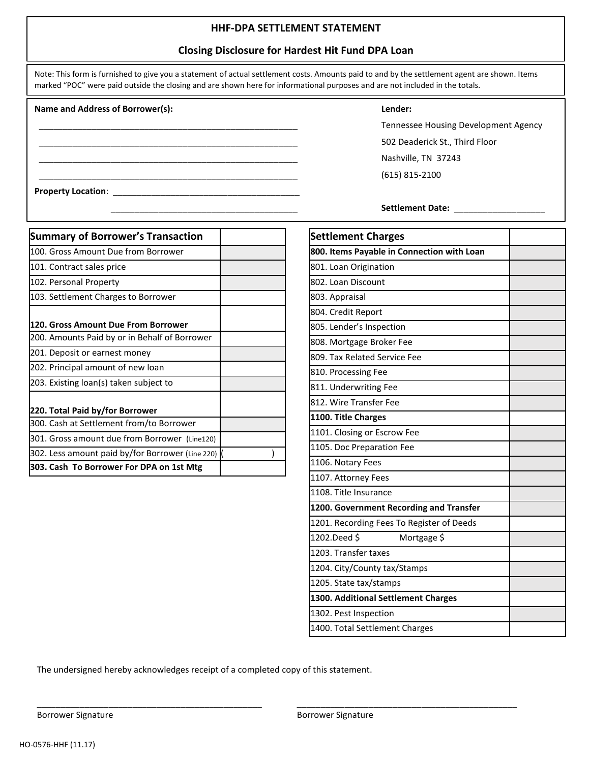## **HHF-DPA SETTLEMENT STATEMENT**

# **Closing Disclosure for Hardest Hit Fund DPA Loan**

| Note: This form is furnished to give you a statement of actual settlement costs. Amounts paid to and by the settlement agent are shown. Items |
|-----------------------------------------------------------------------------------------------------------------------------------------------|
| marked "POC" were paid outside the closing and are shown here for informational purposes and are not included in the totals.                  |
|                                                                                                                                               |

## **Name and Address of Borrower(s): Lender:**

**Property Location**: \_\_\_\_\_\_\_\_\_\_\_\_\_\_\_\_\_\_\_\_\_\_\_\_\_\_\_\_\_\_\_\_\_\_\_\_\_\_\_

Tennessee Housing Development Agency \_\_\_\_\_\_\_\_\_\_\_\_\_\_\_\_\_\_\_\_\_\_\_\_\_\_\_\_\_\_\_\_\_\_\_\_\_\_\_\_\_\_\_\_\_\_\_\_\_\_\_\_\_\_ 502 Deaderick St., Third Floor Nashville, TN 37243 \_\_\_\_\_\_\_\_\_\_\_\_\_\_\_\_\_\_\_\_\_\_\_\_\_\_\_\_\_\_\_\_\_\_\_\_\_\_\_\_\_\_\_\_\_\_\_\_\_\_\_\_\_\_ (615) 815-2100

\_\_\_\_\_\_\_\_\_\_\_\_\_\_\_\_\_\_\_\_\_\_\_\_\_\_\_\_\_\_\_\_\_\_\_\_\_\_\_ **Settlement Date:** \_\_\_\_\_\_\_\_\_\_\_\_\_\_\_\_\_\_\_

| <b>Summary of Borrower's Transaction</b>         |  |
|--------------------------------------------------|--|
| 100. Gross Amount Due from Borrower              |  |
| 101. Contract sales price                        |  |
| 102. Personal Property                           |  |
| 103. Settlement Charges to Borrower              |  |
| 120. Gross Amount Due From Borrower              |  |
| 200. Amounts Paid by or in Behalf of Borrower    |  |
| 201. Deposit or earnest money                    |  |
| 202. Principal amount of new loan                |  |
| 203. Existing loan(s) taken subject to           |  |
| 220. Total Paid by/for Borrower                  |  |
| 300. Cash at Settlement from/to Borrower         |  |
| 301. Gross amount due from Borrower (Line120)    |  |
| 302. Less amount paid by/for Borrower (Line 220) |  |
| 303. Cash To Borrower For DPA on 1st Mtg         |  |

| <b>Settlement Charges</b>                  |  |
|--------------------------------------------|--|
| 800. Items Payable in Connection with Loan |  |
| 801. Loan Origination                      |  |
| 802. Loan Discount                         |  |
| 803. Appraisal                             |  |
| 804. Credit Report                         |  |
| 805. Lender's Inspection                   |  |
| 808. Mortgage Broker Fee                   |  |
| 809. Tax Related Service Fee               |  |
| 810. Processing Fee                        |  |
| 811. Underwriting Fee                      |  |
| 812. Wire Transfer Fee                     |  |
| 1100. Title Charges                        |  |
| 1101. Closing or Escrow Fee                |  |
| 1105. Doc Preparation Fee                  |  |
| 1106. Notary Fees                          |  |
| 1107. Attorney Fees                        |  |
| 1108. Title Insurance                      |  |
| 1200. Government Recording and Transfer    |  |
| 1201. Recording Fees To Register of Deeds  |  |
| 1202.Deed \$<br>Mortgage \$                |  |
| 1203. Transfer taxes                       |  |
| 1204. City/County tax/Stamps               |  |
| 1205. State tax/stamps                     |  |
| 1300. Additional Settlement Charges        |  |
| 1302. Pest Inspection                      |  |
| 1400. Total Settlement Charges             |  |

The undersigned hereby acknowledges receipt of a completed copy of this statement.

 $\overline{\phantom{a}}$  , and the contribution of the contribution of the contribution of the contribution of the contribution of the contribution of the contribution of the contribution of the contribution of the contribution of the

Borrower Signature **Borrower Signature Borrower Signature**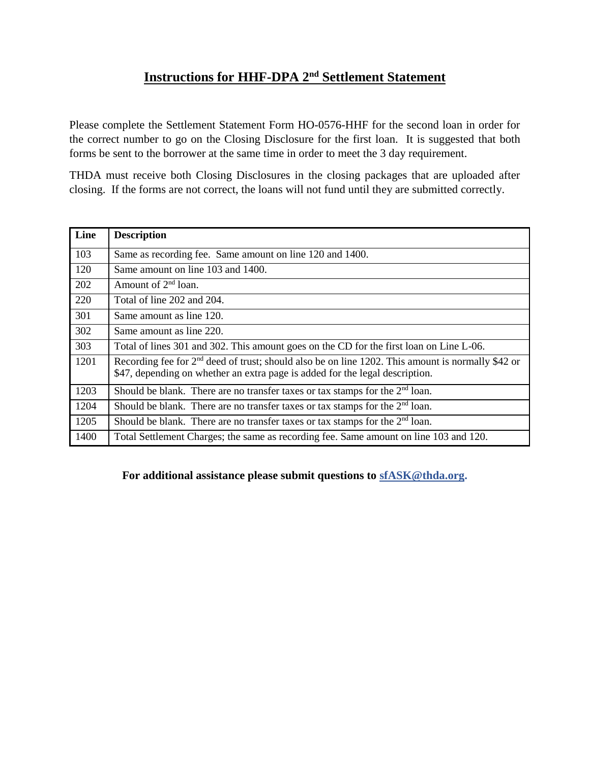# **Instructions for HHF-DPA 2 nd Settlement Statement**

Please complete the Settlement Statement Form HO-0576-HHF for the second loan in order for the correct number to go on the Closing Disclosure for the first loan. It is suggested that both forms be sent to the borrower at the same time in order to meet the 3 day requirement.

THDA must receive both Closing Disclosures in the closing packages that are uploaded after closing. If the forms are not correct, the loans will not fund until they are submitted correctly.

| Line | <b>Description</b>                                                                                                                                                                  |
|------|-------------------------------------------------------------------------------------------------------------------------------------------------------------------------------------|
| 103  | Same as recording fee. Same amount on line 120 and 1400.                                                                                                                            |
| 120  | Same amount on line 103 and 1400.                                                                                                                                                   |
| 202  | Amount of $2nd$ loan.                                                                                                                                                               |
| 220  | Total of line 202 and 204.                                                                                                                                                          |
| 301  | Same amount as line 120.                                                                                                                                                            |
| 302  | Same amount as line 220.                                                                                                                                                            |
| 303  | Total of lines 301 and 302. This amount goes on the CD for the first loan on Line L-06.                                                                                             |
| 1201 | Recording fee for $2nd$ deed of trust; should also be on line 1202. This amount is normally \$42 or<br>\$47, depending on whether an extra page is added for the legal description. |
| 1203 | Should be blank. There are no transfer taxes or tax stamps for the $2nd$ loan.                                                                                                      |
| 1204 | Should be blank. There are no transfer taxes or tax stamps for the 2 <sup>nd</sup> loan.                                                                                            |
| 1205 | Should be blank. There are no transfer taxes or tax stamps for the $2nd$ loan.                                                                                                      |
| 1400 | Total Settlement Charges; the same as recording fee. Same amount on line 103 and 120.                                                                                               |

**For additional assistance please submit questions to [sfASK@thda.org.](mailto:sfASK@thda.org)**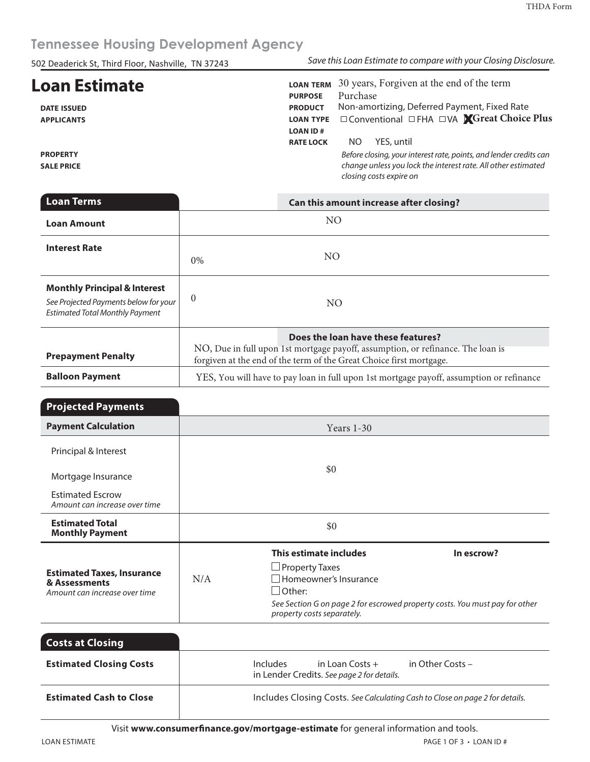Save this Loan Estimate to compare with your Closing Disclosure.

# **Tennessee Housing Development Agency**

| 502 Deaderick St, Third Floor, Nashville, TN 37243 |
|----------------------------------------------------|
|----------------------------------------------------|

| <b>Loan Estimate</b>                    |       | 30 years, Forgiven at the end of the term<br><b>LOAN TERM</b><br>Purchase<br><b>PURPOSE</b>                                                                                                             |
|-----------------------------------------|-------|---------------------------------------------------------------------------------------------------------------------------------------------------------------------------------------------------------|
| <b>DATE ISSUED</b><br><b>APPLICANTS</b> |       | Non-amortizing, Deferred Payment, Fixed Rate<br><b>PRODUCT</b><br>□ Conventional □ FHA □ VA <i>KGreat Choice Plus</i><br><b>LOAN TYPE</b><br><b>LOAN ID#</b>                                            |
| <b>PROPERTY</b><br><b>SALE PRICE</b>    |       | YES, until<br>NO.<br><b>RATE LOCK</b><br>Before closing, your interest rate, points, and lender credits can<br>change unless you lock the interest rate. All other estimated<br>closing costs expire on |
| <b>Loan Terms</b>                       |       | <b>Can this amount increase after closing?</b>                                                                                                                                                          |
| <b>Loan Amount</b>                      |       | N <sub>O</sub>                                                                                                                                                                                          |
| <b>Interest Rate</b>                    | $0\%$ | NO                                                                                                                                                                                                      |

| Loan Terms                                                                                                                 | Can this amount increase after closing?                                                                                                                                                      |  |
|----------------------------------------------------------------------------------------------------------------------------|----------------------------------------------------------------------------------------------------------------------------------------------------------------------------------------------|--|
| <b>Loan Amount</b>                                                                                                         | NO.                                                                                                                                                                                          |  |
| <b>Interest Rate</b>                                                                                                       | NO.<br>$0\%$                                                                                                                                                                                 |  |
| <b>Monthly Principal &amp; Interest</b><br>See Projected Payments below for your<br><b>Estimated Total Monthly Payment</b> | $\Omega$<br>N <sub>O</sub>                                                                                                                                                                   |  |
| <b>Prepayment Penalty</b>                                                                                                  | Does the loan have these features?<br>NO, Due in full upon 1st mortgage payoff, assumption, or refinance. The loan is<br>forgiven at the end of the term of the Great Choice first mortgage. |  |
| <b>Balloon Payment</b>                                                                                                     | YES, You will have to pay loan in full upon 1st mortgage payoff, assumption or refinance                                                                                                     |  |

| <b>Projected Payments</b>                                                           |     |                                                                                                                                |                                                                                           |
|-------------------------------------------------------------------------------------|-----|--------------------------------------------------------------------------------------------------------------------------------|-------------------------------------------------------------------------------------------|
| <b>Payment Calculation</b>                                                          |     | Years 1-30                                                                                                                     |                                                                                           |
| Principal & Interest                                                                |     |                                                                                                                                |                                                                                           |
| Mortgage Insurance                                                                  |     | \$0                                                                                                                            |                                                                                           |
| <b>Estimated Escrow</b><br>Amount can increase over time                            |     |                                                                                                                                |                                                                                           |
| <b>Estimated Total</b><br><b>Monthly Payment</b>                                    |     | \$0                                                                                                                            |                                                                                           |
| <b>Estimated Taxes, Insurance</b><br>& Assessments<br>Amount can increase over time | N/A | This estimate includes<br>$\Box$ Property Taxes<br>$\Box$ Homeowner's Insurance<br>$\Box$ Other:<br>property costs separately. | In escrow?<br>See Section G on page 2 for escrowed property costs. You must pay for other |
| <b>Costs at Closing</b>                                                             |     |                                                                                                                                |                                                                                           |
| <b>Estimated Closing Costs</b>                                                      |     | Includes<br>in Loan Costs $+$<br>in Lender Credits. See page 2 for details.                                                    | in Other Costs -                                                                          |
| <b>Estimated Cash to Close</b>                                                      |     | Includes Closing Costs. See Calculating Cash to Close on page 2 for details.                                                   |                                                                                           |

Visit **www.consumerfinance.gov/mortgage-estimate** for general information and tools.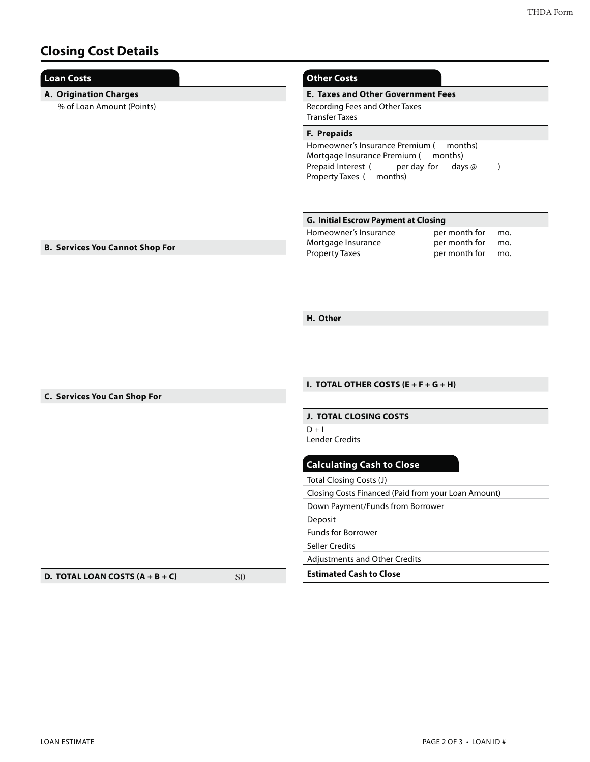# **Closing Cost Details**

| <b>Loan Costs</b>                      | <b>Other Costs</b>                                                                          |  |
|----------------------------------------|---------------------------------------------------------------------------------------------|--|
| A. Origination Charges                 | <b>E. Taxes and Other Government Fees</b>                                                   |  |
| % of Loan Amount (Points)              | Recording Fees and Other Taxes                                                              |  |
|                                        | <b>Transfer Taxes</b>                                                                       |  |
|                                        | F. Prepaids                                                                                 |  |
|                                        | Homeowner's Insurance Premium (<br>months)<br>months)<br>Mortgage Insurance Premium (       |  |
|                                        | Prepaid Interest (<br>days @<br>per day for<br>$\lambda$                                    |  |
|                                        | Property Taxes (<br>months)                                                                 |  |
|                                        |                                                                                             |  |
|                                        | <b>G. Initial Escrow Payment at Closing</b>                                                 |  |
|                                        | Homeowner's Insurance<br>per month for<br>mo.<br>per month for<br>Mortgage Insurance<br>mo. |  |
| <b>B. Services You Cannot Shop For</b> | <b>Property Taxes</b><br>per month for<br>mo.                                               |  |
|                                        |                                                                                             |  |
| C. Services You Can Shop For           | I. TOTAL OTHER COSTS $(E + F + G + H)$                                                      |  |
|                                        | J. TOTAL CLOSING COSTS                                                                      |  |
|                                        | $D+I$                                                                                       |  |
|                                        | Lender Credits                                                                              |  |
|                                        | <b>Calculating Cash to Close</b>                                                            |  |
|                                        | Total Closing Costs (J)                                                                     |  |
|                                        | Closing Costs Financed (Paid from your Loan Amount)                                         |  |
|                                        | Down Payment/Funds from Borrower                                                            |  |
|                                        | Deposit                                                                                     |  |
|                                        | Funds for Borrower                                                                          |  |
|                                        | <b>Seller Credits</b>                                                                       |  |
|                                        | Adjustments and Other Credits                                                               |  |

**Estimated Cash to Close**

 $$0$ 

**D. TOTAL LOAN COSTS (A + B + C)**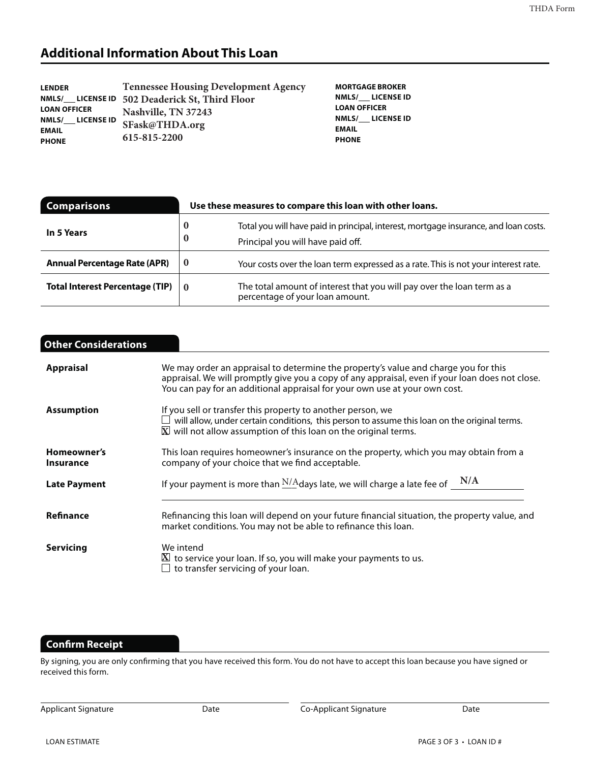# **Additional Information About This Loan**

| <b>LENDER</b>             | <b>Tennessee Housing Development Agency</b>    |
|---------------------------|------------------------------------------------|
|                           | NMLS/ LICENSE ID 502 Deaderick St, Third Floor |
| <b>LOAN OFFICER</b>       | Nashville, TN 37243                            |
| NMLS/ LICENSE ID<br>EMAIL | SFask@THDA.org                                 |
| <b>PHONE</b>              | 615-815-2200                                   |

**MORTGAGE BROKER NMLS/ LICENSE ID LOAN OFFICER NMLS/ LICENSE ID EMAIL PHONE** 

| <b>Comparisons</b>                     | Use these measures to compare this loan with other loans.                                                                                         |  |  |
|----------------------------------------|---------------------------------------------------------------------------------------------------------------------------------------------------|--|--|
| In 5 Years                             | Total you will have paid in principal, interest, mortgage insurance, and loan costs.<br>$\bf{0}$<br>$\bf{0}$<br>Principal you will have paid off. |  |  |
| <b>Annual Percentage Rate (APR)</b>    | Your costs over the loan term expressed as a rate. This is not your interest rate.                                                                |  |  |
| <b>Total Interest Percentage (TIP)</b> | The total amount of interest that you will pay over the loan term as a<br>percentage of your loan amount.                                         |  |  |

| <b>Other Considerations</b>     |                                                                                                                                                                                                                                                                      |
|---------------------------------|----------------------------------------------------------------------------------------------------------------------------------------------------------------------------------------------------------------------------------------------------------------------|
| <b>Appraisal</b>                | We may order an appraisal to determine the property's value and charge you for this<br>appraisal. We will promptly give you a copy of any appraisal, even if your loan does not close.<br>You can pay for an additional appraisal for your own use at your own cost. |
| <b>Assumption</b>               | If you sell or transfer this property to another person, we<br>$\Box$ will allow, under certain conditions, this person to assume this loan on the original terms.<br>$\overline{X}$ will not allow assumption of this loan on the original terms.                   |
| Homeowner's<br><b>Insurance</b> | This loan requires homeowner's insurance on the property, which you may obtain from a<br>company of your choice that we find acceptable.                                                                                                                             |
| <b>Late Payment</b>             | N/A<br>If your payment is more than $N/A$ days late, we will charge a late fee of                                                                                                                                                                                    |
| Refinance                       | Refinancing this loan will depend on your future financial situation, the property value, and<br>market conditions. You may not be able to refinance this loan.                                                                                                      |
| <b>Servicing</b>                | We intend<br>$\mathbb X$ to service your loan. If so, you will make your payments to us.<br>to transfer servicing of your loan.                                                                                                                                      |

# **Confirm Receipt**

By signing, you are only confirming that you have received this form. You do not have to accept this loan because you have signed or received this form.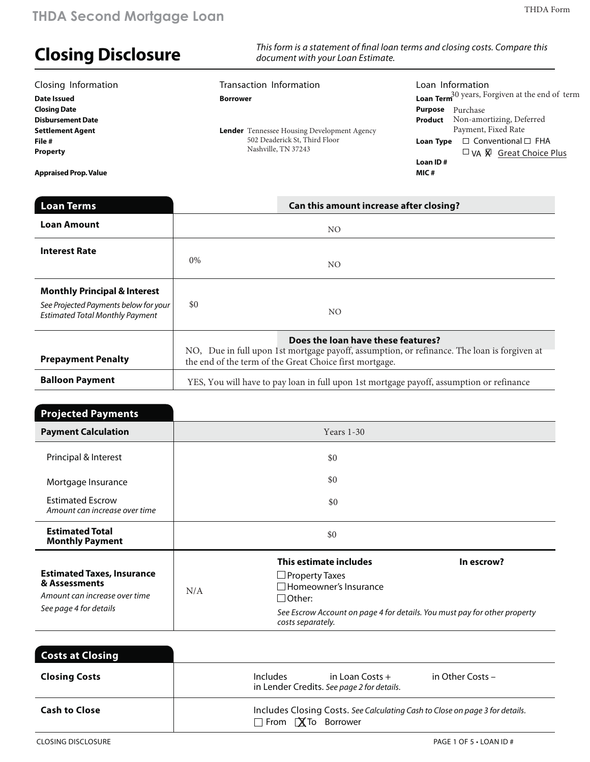This form is a statement of final loan terms and closing costs. Compare this **Closing Disclosure** document with your Loan Estimate.

| Closing Information          | Transaction Information                            | Loan Information                                           |
|------------------------------|----------------------------------------------------|------------------------------------------------------------|
| Date Issued                  | <b>Borrower</b>                                    | Loan Term <sup>30</sup> years, Forgiven at the end of term |
| <b>Closing Date</b>          |                                                    | Purchase<br>Purpose                                        |
| <b>Disbursement Date</b>     |                                                    | <b>Product</b> Non-amortizing, Deferred                    |
| <b>Settlement Agent</b>      | <b>Lender</b> Tennessee Housing Development Agency | Payment, Fixed Rate                                        |
| File #                       | 502 Deaderick St, Third Floor                      | $\Box$ Conventional $\Box$ FHA<br>Loan Type                |
| <b>Property</b>              | Nashville, TN 37243                                | $\Box$ VA $\overline{X}$ Great Choice Plus                 |
|                              |                                                    | Loan ID#                                                   |
| <b>Appraised Prop. Value</b> |                                                    | MIC#                                                       |

**Appraised Prop. Value**

| <b>Loan Terms</b>                                                                                                          | <b>Can this amount increase after closing?</b>                                                                                                                                               |  |
|----------------------------------------------------------------------------------------------------------------------------|----------------------------------------------------------------------------------------------------------------------------------------------------------------------------------------------|--|
| <b>Loan Amount</b>                                                                                                         | NO.                                                                                                                                                                                          |  |
| <b>Interest Rate</b>                                                                                                       | $0\%$<br>NO.                                                                                                                                                                                 |  |
| <b>Monthly Principal &amp; Interest</b><br>See Projected Payments below for your<br><b>Estimated Total Monthly Payment</b> | \$0<br>NO.                                                                                                                                                                                   |  |
| <b>Prepayment Penalty</b>                                                                                                  | Does the loan have these features?<br>NO, Due in full upon 1st mortgage payoff, assumption, or refinance. The loan is forgiven at<br>the end of the term of the Great Choice first mortgage. |  |
| <b>Balloon Payment</b>                                                                                                     | YES, You will have to pay loan in full upon 1st mortgage payoff, assumption or refinance                                                                                                     |  |

| <b>Projected Payments</b>                                                                                     |     |                                                                                                                                                                                               |            |
|---------------------------------------------------------------------------------------------------------------|-----|-----------------------------------------------------------------------------------------------------------------------------------------------------------------------------------------------|------------|
| <b>Payment Calculation</b>                                                                                    |     | Years $1-30$                                                                                                                                                                                  |            |
| Principal & Interest                                                                                          |     | \$0                                                                                                                                                                                           |            |
| Mortgage Insurance                                                                                            |     | \$0                                                                                                                                                                                           |            |
| <b>Estimated Escrow</b><br>Amount can increase over time                                                      |     | \$0                                                                                                                                                                                           |            |
| <b>Estimated Total</b><br><b>Monthly Payment</b>                                                              |     | \$0                                                                                                                                                                                           |            |
| <b>Estimated Taxes, Insurance</b><br>& Assessments<br>Amount can increase over time<br>See page 4 for details | N/A | This estimate includes<br>$\Box$ Property Taxes<br>□ Homeowner's Insurance<br>$\Box$ Other:<br>See Escrow Account on page 4 for details. You must pay for other property<br>costs separately. | In escrow? |

| <b>Costs at Closing</b> |                                                                                                             |  |
|-------------------------|-------------------------------------------------------------------------------------------------------------|--|
| <b>Closing Costs</b>    | in Other Costs $-$<br>in Loan Costs $+$<br>Includes<br>in Lender Credits. See page 2 for details.           |  |
| <b>Cash to Close</b>    | Includes Closing Costs. See Calculating Cash to Close on page 3 for details.<br>$\Box$ From $X$ To Borrower |  |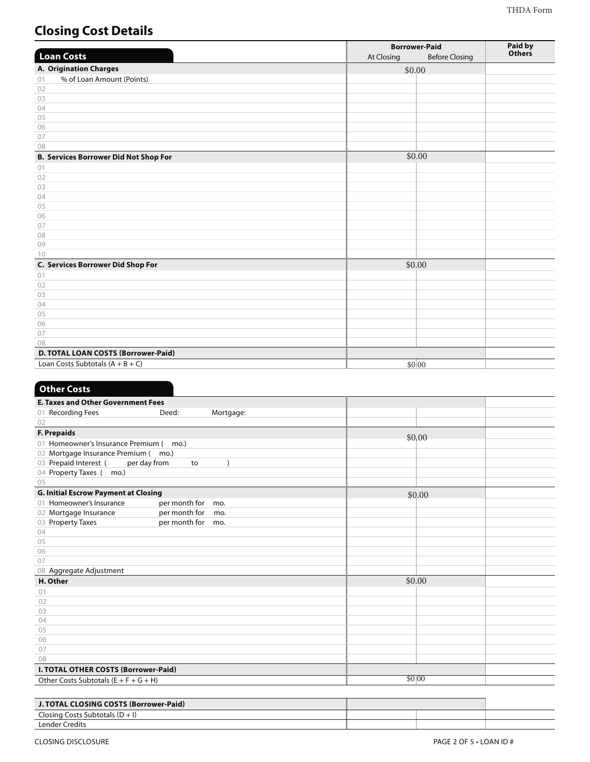# **Closing Cost Details**

|                                              | <b>Borrower-Paid</b> |                       | Paid by<br>Others |
|----------------------------------------------|----------------------|-----------------------|-------------------|
| <b>Loan Costs</b>                            | At Closing           | <b>Before Closing</b> |                   |
| A. Origination Charges                       | \$0.00               |                       |                   |
| % of Loan Amount (Points)<br>01              |                      |                       |                   |
| 02                                           |                      |                       |                   |
| 03                                           |                      |                       |                   |
| 04                                           |                      |                       |                   |
| 05                                           |                      |                       |                   |
| 06                                           |                      |                       |                   |
| 07                                           |                      |                       |                   |
| 08                                           |                      |                       |                   |
| <b>B. Services Borrower Did Not Shop For</b> |                      | \$0.00                |                   |
| 01                                           |                      |                       |                   |
| 02                                           |                      |                       |                   |
| 03                                           |                      |                       |                   |
| 04                                           |                      |                       |                   |
| 05                                           |                      |                       |                   |
| 06                                           |                      |                       |                   |
| 07                                           |                      |                       |                   |
| 08                                           |                      |                       |                   |
| 09                                           |                      |                       |                   |
| 10                                           |                      |                       |                   |
| C. Services Borrower Did Shop For            |                      | \$0.00                |                   |
| 01                                           |                      |                       |                   |
| 02                                           |                      |                       |                   |
| 03                                           |                      |                       |                   |
| 04                                           |                      |                       |                   |
| 05                                           |                      |                       |                   |
| 06                                           |                      |                       |                   |
| 07                                           |                      |                       |                   |
| 08<br>D. TOTAL LOAN COSTS (Borrower-Paid)    |                      |                       |                   |
|                                              |                      |                       |                   |
| Loan Costs Subtotals $(A + B + C)$           |                      | \$0 00                |                   |

# **Other Costs**

| <b>E. Taxes and Other Government Fees</b>        |        |  |  |  |  |
|--------------------------------------------------|--------|--|--|--|--|
| 01 Recording Fees<br>Deed:<br>Mortgage:          |        |  |  |  |  |
| 02                                               |        |  |  |  |  |
| F. Prepaids                                      | \$0.00 |  |  |  |  |
| 01 Homeowner's Insurance Premium (<br>mo.)       |        |  |  |  |  |
| 02 Mortgage Insurance Premium (mo.)              |        |  |  |  |  |
| 03 Prepaid Interest (<br>per day from<br>to      |        |  |  |  |  |
| 04 Property Taxes (<br>mo.)                      |        |  |  |  |  |
| 05                                               |        |  |  |  |  |
| <b>G. Initial Escrow Payment at Closing</b>      | \$0.00 |  |  |  |  |
| 01 Homeowner's Insurance<br>per month for<br>mo. |        |  |  |  |  |
| 02 Mortgage Insurance<br>per month for<br>mo.    |        |  |  |  |  |
| 03 Property Taxes<br>per month for<br>mo.        |        |  |  |  |  |
| 04                                               |        |  |  |  |  |
| 05                                               |        |  |  |  |  |
| 06                                               |        |  |  |  |  |
| 07                                               |        |  |  |  |  |
| 08 Aggregate Adjustment                          |        |  |  |  |  |
| H. Other                                         | \$0.00 |  |  |  |  |
| 01                                               |        |  |  |  |  |
| 02                                               |        |  |  |  |  |
| 03                                               |        |  |  |  |  |
| 04                                               |        |  |  |  |  |
| 05                                               |        |  |  |  |  |
| 06                                               |        |  |  |  |  |
| 07                                               |        |  |  |  |  |
| 08                                               |        |  |  |  |  |
| I. TOTAL OTHER COSTS (Borrower-Paid)             |        |  |  |  |  |
| Other Costs Subtotals $(E + F + G + H)$          | \$0 00 |  |  |  |  |
|                                                  |        |  |  |  |  |

| J. TOTAL CLOSING COSTS (Borrower-Paid) |  |  |
|----------------------------------------|--|--|
| Closing Costs Subtotals $(D + I)$      |  |  |
| Lender Credits                         |  |  |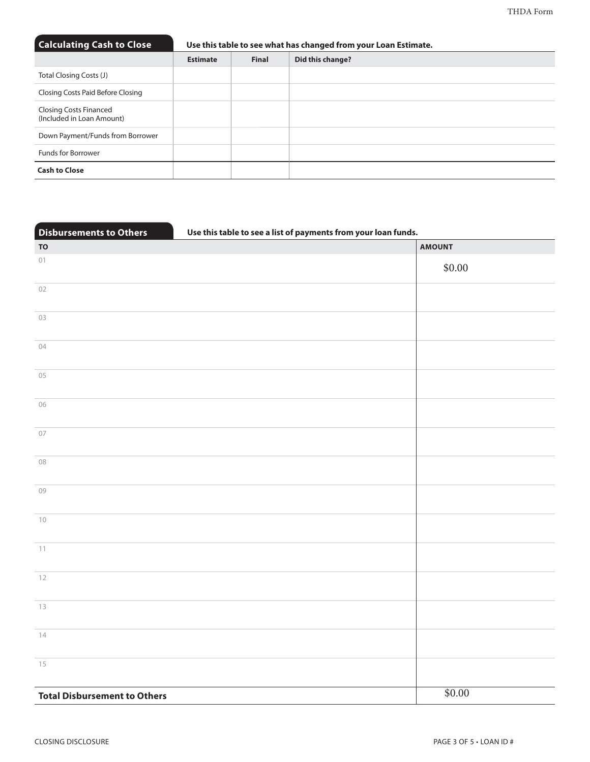| <b>Calculating Cash to Close</b>                           | Use this table to see what has changed from your Loan Estimate. |              |                  |  |
|------------------------------------------------------------|-----------------------------------------------------------------|--------------|------------------|--|
|                                                            | <b>Estimate</b>                                                 | <b>Final</b> | Did this change? |  |
| Total Closing Costs (J)                                    |                                                                 |              |                  |  |
| Closing Costs Paid Before Closing                          |                                                                 |              |                  |  |
| <b>Closing Costs Financed</b><br>(Included in Loan Amount) |                                                                 |              |                  |  |
| Down Payment/Funds from Borrower                           |                                                                 |              |                  |  |
| <b>Funds for Borrower</b>                                  |                                                                 |              |                  |  |
| <b>Cash to Close</b>                                       |                                                                 |              |                  |  |

| Disbursements to Others             | Use this table to see a list of payments from your loan funds. |               |  |
|-------------------------------------|----------------------------------------------------------------|---------------|--|
| <b>TO</b>                           |                                                                | <b>AMOUNT</b> |  |
| $01$                                |                                                                | \$0.00        |  |
| 02                                  |                                                                |               |  |
| 03                                  |                                                                |               |  |
| 04                                  |                                                                |               |  |
| 05                                  |                                                                |               |  |
| 06                                  |                                                                |               |  |
| 07                                  |                                                                |               |  |
| 08                                  |                                                                |               |  |
| 09                                  |                                                                |               |  |
| $10$                                |                                                                |               |  |
| $11\,$                              |                                                                |               |  |
| 12                                  |                                                                |               |  |
| 13                                  |                                                                |               |  |
| 14                                  |                                                                |               |  |
| 15                                  |                                                                |               |  |
| <b>Total Disbursement to Others</b> |                                                                | \$0.00        |  |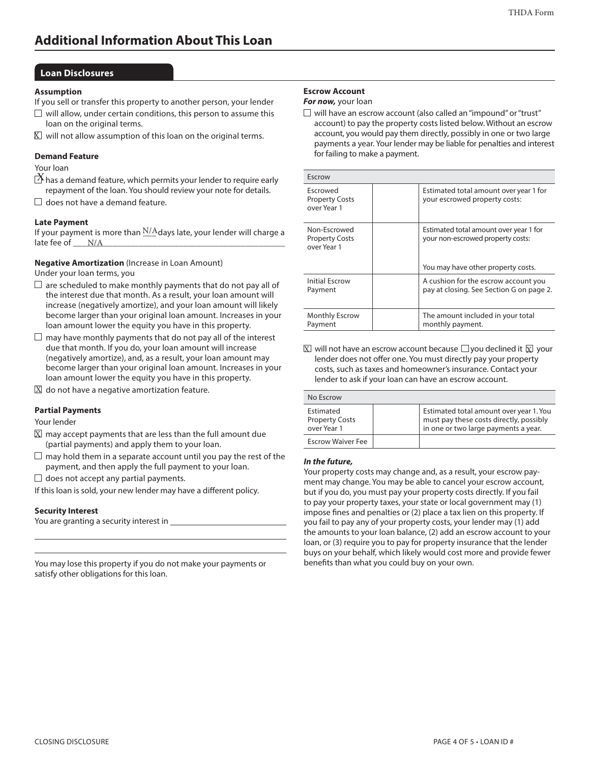# **Loan Disclosures**

## **Assumption**

- If you sell or transfer this property to another person, your lender  $\Box$  will allow, under certain conditions, this person to assume this loan on the original terms.
- $\overline{\mathbb{X}}$  will not allow assumption of this loan on the original terms.

# **Demand Feature**

Your loan

- $\overline{\mathrm{X}}$ has a demand feature, which permits your lender to require early repayment of the loan. You should review your note for details.
- $\Box$  does not have a demand feature.

# **Late Payment**

If your payment is more than  $\frac{N}{A}$ days late, your lender will charge a late fee of \_\_\_\_\_\_\_\_\_\_\_\_\_\_\_\_\_\_\_\_\_\_\_\_\_\_\_\_\_\_\_\_\_\_\_\_\_\_\_\_\_\_\_\_\_\_\_\_ /"

# **Negative Amortization** (Increase in Loan Amount)

Under your loan terms, you

- $\Box$  are scheduled to make monthly payments that do not pay all of the interest due that month. As a result, your loan amount will increase (negatively amortize), and your loan amount will likely become larger than your original loan amount. Increases in your loan amount lower the equity you have in this property.
- $\Box$  may have monthly payments that do not pay all of the interest due that month. If you do, your loan amount will increase (negatively amortize), and, as a result, your loan amount may become larger than your original loan amount. Increases in your loan amount lower the equity you have in this property.
- $\overline{\text{X}}$  do not have a negative amortization feature.

# **Partial Payments**

Your lender

- $\overline{\text{x}}$  may accept payments that are less than the full amount due (partial payments) and apply them to your loan.
- $\Box$  may hold them in a separate account until you pay the rest of the payment, and then apply the full payment to your loan.
- $\Box$  does not accept any partial payments.

If this loan is sold, your new lender may have a different policy.

# **Security Interest**

You are granting a security interest in

You may lose this property if you do not make your payments or satisfy other obligations for this loan.

# **Escrow Account**

# **For now,** your loan

 $\Box$  will have an escrow account (also called an "impound" or "trust" account) to pay the property costs listed below. Without an escrow account, you would pay them directly, possibly in one or two large payments a year. Your lender may be liable for penalties and interest for failing to make a payment.

| Escrow                                           |                                                                         |
|--------------------------------------------------|-------------------------------------------------------------------------|
| Escrowed<br><b>Property Costs</b><br>over Year 1 | Estimated total amount over year 1 for<br>your escrowed property costs: |
| Non-Escrowed                                     | Estimated total amount over year 1 for                                  |
| <b>Property Costs</b>                            | your non-escrowed property costs:                                       |
| over Year 1                                      | You may have other property costs.                                      |
| <b>Initial Escrow</b>                            | A cushion for the escrow account you                                    |
| Payment                                          | pay at closing. See Section G on page 2.                                |
| <b>Monthly Escrow</b>                            | The amount included in your total                                       |
| Payment                                          | monthly payment.                                                        |

 $\overline{\mathbb{X}}$  will not have an escrow account because  $\Box$  you declined it  $\overline{\mathbb{X}}$  your lender does not offer one. You must directly pay your property costs, such as taxes and homeowner's insurance. Contact your lender to ask if your loan can have an escrow account.

| No Escrow                                         |                                                                                                                            |
|---------------------------------------------------|----------------------------------------------------------------------------------------------------------------------------|
| Estimated<br><b>Property Costs</b><br>over Year 1 | Estimated total amount over year 1. You<br>must pay these costs directly, possibly<br>in one or two large payments a year. |
| <b>Escrow Waiver Fee</b>                          |                                                                                                                            |
|                                                   |                                                                                                                            |

# **In the future,**

Your property costs may change and, as a result, your escrow payment may change. You may be able to cancel your escrow account, but if you do, you must pay your property costs directly. If you fail to pay your property taxes, your state or local government may (1) impose fines and penalties or (2) place a tax lien on this property. If you fail to pay any of your property costs, your lender may (1) add the amounts to your loan balance, (2) add an escrow account to your loan, or (3) require you to pay for property insurance that the lender buys on your behalf, which likely would cost more and provide fewer benefits than what you could buy on your own.